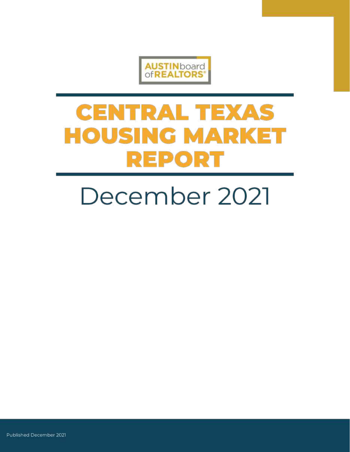

# **CENTRAL TEXAS HOUSING MARKET REPORT**

# December 2021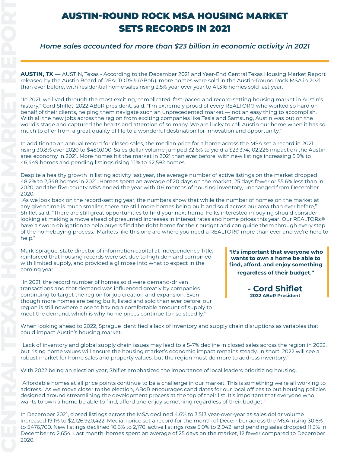### AUSTIN-ROUND ROCK MSA HOUSING MARKET SETS RECORDS IN 2021

*Home sales accounted for more than \$23 billion in economic activity in 2021*

**AUSTIN, TX —** AUSTIN, Texas - According to the December 2021 and Year-End Central Texas Housing Market Report released by the Austin Board of REALTORS® (ABoR), more homes were sold in the Austin-Round Rock MSA in 2021 than ever before, with residential home sales rising 2.5% year over year to 41,316 homes sold last year.

"In 2021, we lived through the most exciting, complicated, fast-paced and record-setting housing market in Austin's history," Cord Shiflet, 2022 ABoR president, said. "I'm extremely proud of every REALTOR® who worked so hard on behalf of their clients, helping them navigate such an unprecedented market — not an easy thing to accomplish. With all the new jobs across the region from exciting companies like Tesla and Samsung, Austin was put on the world's stage and captured the hearts and attention of so many. We are lucky to call Austin our home when it has so much to offer from a great quality of life to a wonderful destination for innovation and opportunity."

In addition to an annual record for closed sales, the median price for a home across the MSA set a record in 2021, rising 30.8% over 2020 to \$450,000. Sales dollar volume jumped 32.6% to yield a \$23,374,102,226 impact on the Austinarea economy in 2021. More homes hit the market in 2021 than ever before, with new listings increasing 5.9% to 46,449 homes and pending listings rising 1.1% to 42,592 homes.

Despite a healthy growth in listing activity last year, the average number of active listings on the market dropped 48.2% to 2,348 homes in 2021. Homes spent an average of 20 days on the market, 25 days fewer or 55.6% less than in 2020, and the five-county MSA ended the year with 0.6 months of housing inventory, unchanged from December 2020.

"As we look back on the record-setting year, the numbers show that while the number of homes on the market at any given time is much smaller, there are still more homes being built and sold across our area than ever before," Shiflet said. "There are still great opportunities to find your next home. Folks interested in buying should consider looking at making a move ahead of presumed increases in interest rates and home prices this year. Our REALTORs® have a sworn obligation to help buyers find the right home for their budget and can guide them through every step of the homebuying process. Markets like this one are where you need a REALTOR® more than ever and we're here to help."

Mark Sprague, state director of information capital at Independence Title, reinforced that housing records were set due to high demand combined with limited supply, and provided a glimpse into what to expect in the coming year.

"In 2021, the record number of homes sold were demand-driven transactions and that demand was influenced greatly by companies continuing to target the region for job creation and expansion. Even though more homes are being built, listed and sold than ever before, our region is still nowhere close to having a comfortable amount of supply to meet the demand, which is why home prices continue to rise steadily."

**"It's important that everyone who wants to own a home be able to find, afford, and enjoy something regardless of their budget."**

> **- Cord Shiflet 2022 ABoR President**

When looking ahead to 2022, Sprague identified a lack of inventory and supply chain disruptions as variables that could impact Austin's housing market.

"Lack of inventory and global supply chain issues may lead to a 5-7% decline in closed sales across the region in 2022, but rising home values will ensure the housing market's economic impact remains steady. In short, 2022 will see a robust market for home sales and property values, but the region must do more to address inventory."

With 2022 being an election year, Shiflet emphasized the importance of local leaders prioritizing housing.

"Affordable homes at all price points continue to be a challenge in our market. This is something we're all working to address. As we move closer to the election, ABoR encourages candidates for our local offices to put housing policies designed around streamlining the development process at the top of their list. It's important that everyone who wants to own a home be able to find, afford and enjoy something regardless of their budget."

In December 2021, closed listings across the MSA declined 4.6% to 3,513 year-over-year as sales dollar volume increased 19.1% to \$2,126,920,422. Median price set a record for the month of December across the MSA, rising 30.6% to \$476,700. New listings declined 10.6% to 2,170, active listings rose 5.0% to 2,042, and pending sales dropped 11.3% in December to 2,654. Last month, homes spent an average of 25 days on the market, 12 fewer compared to December 2020.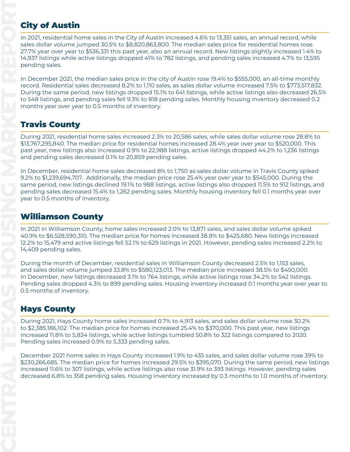#### **City of Austin**

In 2021, residential home sales in the City of Austin increased 4.6% to 13,351 sales, an annual record, while sales dollar volume jumped 30.5% to \$8,820,863,800. The median sales price for residential homes rose 27.7% year over year to \$536,331 this past year, also an annual record. New listings slightly increased 1.4% to 14,937 listings while active listings dropped 41% to 782 listings, and pending sales increased 4.7% to 13,595 pending sales.

In December 2021, the median sales price in the city of Austin rose 19.4% to \$555,000, an all-time monthly record. Residential sales decreased 8.2% to 1,110 sales, as sales dollar volume increased 7.5% to \$773,517,832. During the same period, new listings dropped 15.1% to 641 listings, while active listings also decreased 26.5% to 548 listings, and pending sales fell 9.3% to 818 pending sales. Monthly housing inventory decreased 0.2 months year over year to 0.5 months of inventory.

### Travis County

During 2021, residential home sales increased 2.3% to 20,586 sales, while sales dollar volume rose 28.8% to \$13,767,295,840. The median price for residential homes increased 28.4% year over year to \$520,000. This past year, new listings also increased 0.9% to 22,988 listings, active listings dropped 44.2% to 1,236 listings and pending sales decreased 0.1% to 20,859 pending sales.

In December, residential home sales decreased 8% to 1,750 as sales dollar volume in Travis County spiked 9.2% to \$1,239,694,707. Additionally, the median price rose 25.4% year over year to \$545,000. During the same period, new listings declined 19.1% to 988 listings, active listings also dropped 11.5% to 912 listings, and pending sales decreased 15.4% to 1,262 pending sales. Monthly housing inventory fell 0.1 months year over year to 0.5 months of inventory.

#### Williamson County

In 2021 in Williamson County, home sales increased 2.0% to 13,871 sales, and sales dollar volume spiked 40.9% to \$6,528,590,310. The median price for homes increased 38.8% to \$425,680. New listings increased 12.2% to 15,479 and active listings fell 52.1% to 629 listings in 2021. However, pending sales increased 2.2% to 14,409 pending sales.

During the month of December, residential sales in Williamson County decreased 2.5% to 1,153 sales, and sales dollar volume jumped 33.8% to \$580,123,013. The median price increased 38.5% to \$450,000. In December, new listings decreased 3.1% to 764 listings, while active listings rose 34.2% to 542 listings. Pending sales dropped 4.3% to 899 pending sales. Housing inventory increased 0.1 months year over year to 0.5 months of inventory.

#### Hays County

During 2021, Hays County home sales increased 0.7% to 4,913 sales, and sales dollar volume rose 30.2% to \$2,385,186,102. The median price for homes increased 25.4% to \$370,000. This past year, new listings increased 11.8% to 5,834 listings, while active listings tumbled 50.8% to 322 listings compared to 2020. Pending sales increased 0.9% to 5,333 pending sales.

December 2021 home sales in Hays County increased 1.9% to 435 sales, and sales dollar volume rose 39% to \$230,266,685. The median price for homes increased 29.5% to \$395,070. During the same period, new listings increased 11.6% to 307 listings, while active listings also rose 31.9% to 393 listings. However, pending sales decreased 6.8% to 358 pending sales. Housing inventory increased by 0.3 months to 1.0 months of inventory.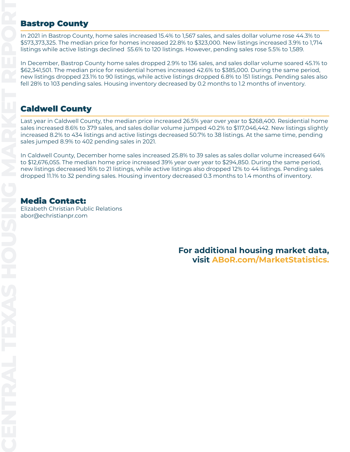#### Bastrop County

In 2021 in Bastrop County, home sales increased 15.4% to 1,567 sales, and sales dollar volume rose 44.3% to \$573,373,325. The median price for homes increased 22.8% to \$323,000. New listings increased 3.9% to 1,714 listings while active listings declined 55.6% to 120 listings. However, pending sales rose 5.5% to 1,589.

In December, Bastrop County home sales dropped 2.9% to 136 sales, and sales dollar volume soared 45.1% to \$62,341,501. The median price for residential homes increased 42.6% to \$385,000. During the same period, new listings dropped 23.1% to 90 listings, while active listings dropped 6.8% to 151 listings. Pending sales also fell 28% to 103 pending sales. Housing inventory decreased by 0.2 months to 1.2 months of inventory.

#### Caldwell County

Last year in Caldwell County, the median price increased 26.5% year over year to \$268,400. Residential home sales increased 8.6% to 379 sales, and sales dollar volume jumped 40.2% to \$117,046,442. New listings slightly increased 8.2% to 434 listings and active listings decreased 50.7% to 38 listings. At the same time, pending sales jumped 8.9% to 402 pending sales in 2021.

In Caldwell County, December home sales increased 25.8% to 39 sales as sales dollar volume increased 64% to \$12,676,055. The median home price increased 39% year over year to \$294,850. During the same period, new listings decreased 16% to 21 listings, while active listings also dropped 12% to 44 listings. Pending sales [d](https://www.abor.com/marketstatistics)ropped 11.1% to 32 pending sales. Housing inventory decreased 0.3 months to 1.4 months of inventory.

#### [Media Contact:](https://www.abor.com/marketstatistics)

[Elizabeth Christian Public Relations](https://www.abor.com/marketstatistics) [abor@echristianpr.com](https://www.abor.com/marketstatistics)

> **For additional housing market data, visit [ABoR.com/MarketStatistics](https://www.abor.com/marketstatistics).**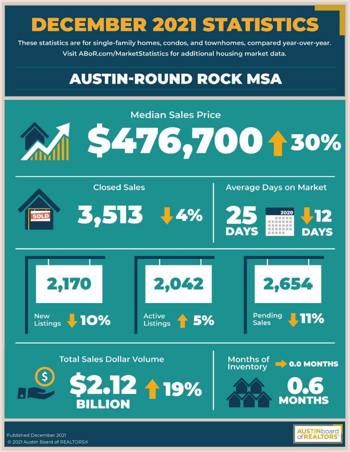These statistics are for single-family homes, condos, and townhomes, compared year-over-year. Visit ABoR.com/MarketStatistics for additional housing market data.

### **AUSTIN-ROUND ROCK MSA**



Published December 2021 @ 2021 Austin Board of REALTORS®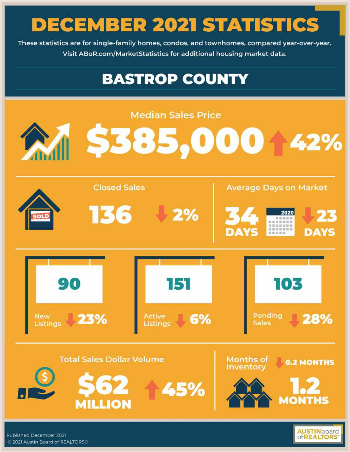These statistics are for single-family homes, condos, and townhomes, compared year-over-year. Visit ABoR.com/MarketStatistics for additional housing market data.

### **BASTROP COUNTY**



**ofREALTORS**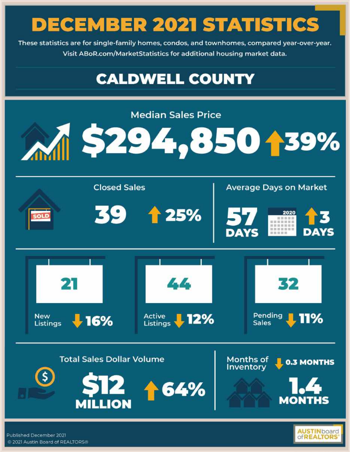These statistics are for single-family homes, condos, and townhomes, compared year-over-year. Visit ABoR.com/MarketStatistics for additional housing market data.

### **CALDWELL COUNTY**



**OFREALTOR** 

Published December 2021 @ 2021 Austin Board of REALTORS®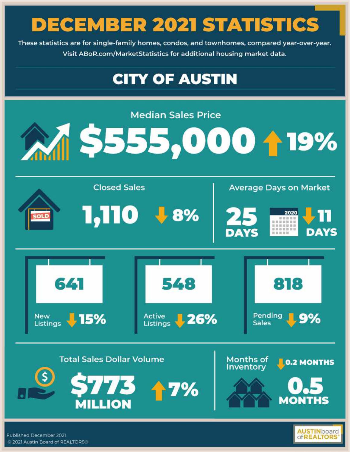These statistics are for single-family homes, condos, and townhomes, compared year-over-year. Visit ABoR.com/MarketStatistics for additional housing market data.

## **CITY OF AUSTIN**



**OFREALTORS** 

Published December 2021 @ 2021 Austin Board of REALTORS®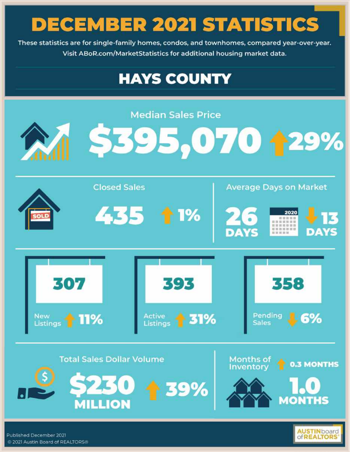These statistics are for single-family homes, condos, and townhomes, compared year-over-year. Visit ABoR.com/MarketStatistics for additional housing market data.

### **HAYS COUNTY**



@ 2021 Austin Board of REALTORS®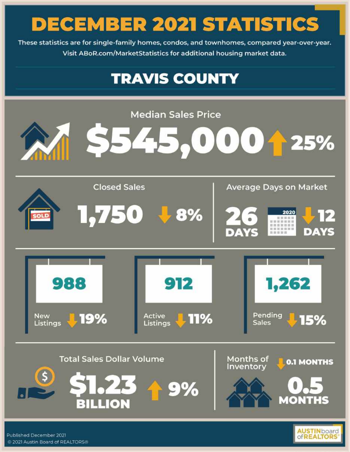These statistics are for single-family homes, condos, and townhomes, compared year-over-year. Visit ABoR.com/MarketStatistics for additional housing market data.

### **TRAVIS COUNTY**